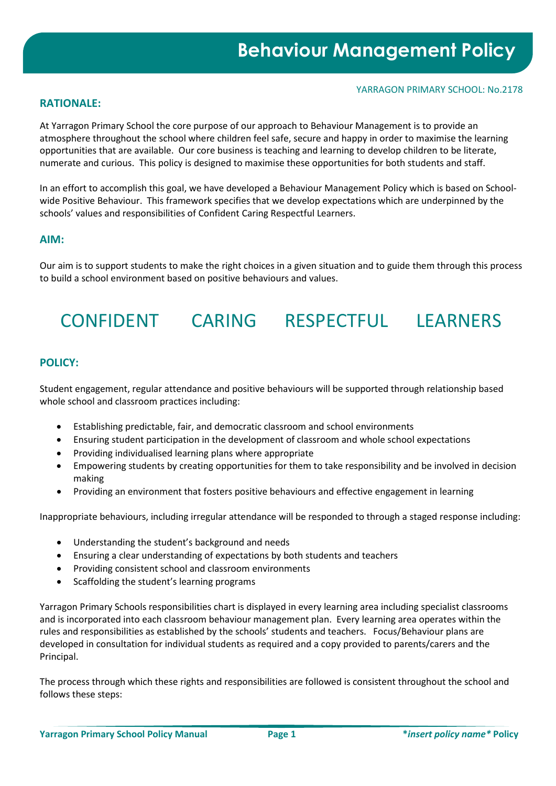#### YARRAGON PRIMARY SCHOOL: No.2178

## **RATIONALE:**

At Yarragon Primary School the core purpose of our approach to Behaviour Management is to provide an atmosphere throughout the school where children feel safe, secure and happy in order to maximise the learning opportunities that are available. Our core business is teaching and learning to develop children to be literate, numerate and curious. This policy is designed to maximise these opportunities for both students and staff.

In an effort to accomplish this goal, we have developed a Behaviour Management Policy which is based on Schoolwide Positive Behaviour. This framework specifies that we develop expectations which are underpinned by the schools' values and responsibilities of Confident Caring Respectful Learners.

## **AIM:**

Our aim is to support students to make the right choices in a given situation and to guide them through this process to build a school environment based on positive behaviours and values.

# CONFIDENT CARING RESPECTFUL LEARNERS

## **POLICY:**

Student engagement, regular attendance and positive behaviours will be supported through relationship based whole school and classroom practices including:

- Establishing predictable, fair, and democratic classroom and school environments
- Ensuring student participation in the development of classroom and whole school expectations
- Providing individualised learning plans where appropriate
- Empowering students by creating opportunities for them to take responsibility and be involved in decision making
- Providing an environment that fosters positive behaviours and effective engagement in learning

Inappropriate behaviours, including irregular attendance will be responded to through a staged response including:

- Understanding the student's background and needs
- Ensuring a clear understanding of expectations by both students and teachers
- Providing consistent school and classroom environments
- Scaffolding the student's learning programs

Yarragon Primary Schools responsibilities chart is displayed in every learning area including specialist classrooms and is incorporated into each classroom behaviour management plan. Every learning area operates within the rules and responsibilities as established by the schools' students and teachers. Focus/Behaviour plans are developed in consultation for individual students as required and a copy provided to parents/carers and the Principal.

The process through which these rights and responsibilities are followed is consistent throughout the school and follows these steps: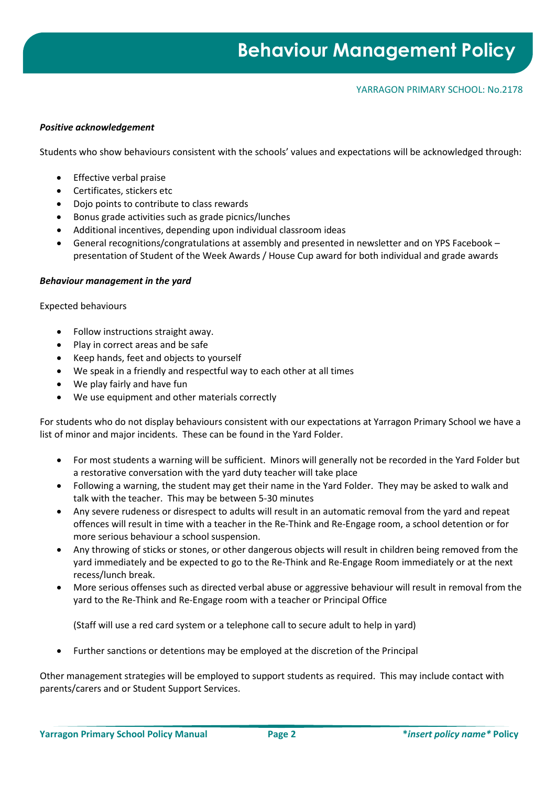#### YARRAGON PRIMARY SCHOOL: No.2178

#### *Positive acknowledgement*

Students who show behaviours consistent with the schools' values and expectations will be acknowledged through:

- Effective verbal praise
- Certificates, stickers etc
- Dojo points to contribute to class rewards
- Bonus grade activities such as grade picnics/lunches
- Additional incentives, depending upon individual classroom ideas
- General recognitions/congratulations at assembly and presented in newsletter and on YPS Facebook presentation of Student of the Week Awards / House Cup award for both individual and grade awards

#### *Behaviour management in the yard*

#### Expected behaviours

- Follow instructions straight away.
- Play in correct areas and be safe
- Keep hands, feet and objects to yourself
- We speak in a friendly and respectful way to each other at all times
- We play fairly and have fun
- We use equipment and other materials correctly

For students who do not display behaviours consistent with our expectations at Yarragon Primary School we have a list of minor and major incidents. These can be found in the Yard Folder.

- For most students a warning will be sufficient. Minors will generally not be recorded in the Yard Folder but a restorative conversation with the yard duty teacher will take place
- Following a warning, the student may get their name in the Yard Folder. They may be asked to walk and talk with the teacher. This may be between 5-30 minutes
- Any severe rudeness or disrespect to adults will result in an automatic removal from the yard and repeat offences will result in time with a teacher in the Re-Think and Re-Engage room, a school detention or for more serious behaviour a school suspension.
- Any throwing of sticks or stones, or other dangerous objects will result in children being removed from the yard immediately and be expected to go to the Re-Think and Re-Engage Room immediately or at the next recess/lunch break.
- More serious offenses such as directed verbal abuse or aggressive behaviour will result in removal from the yard to the Re-Think and Re-Engage room with a teacher or Principal Office

(Staff will use a red card system or a telephone call to secure adult to help in yard)

• Further sanctions or detentions may be employed at the discretion of the Principal

Other management strategies will be employed to support students as required. This may include contact with parents/carers and or Student Support Services.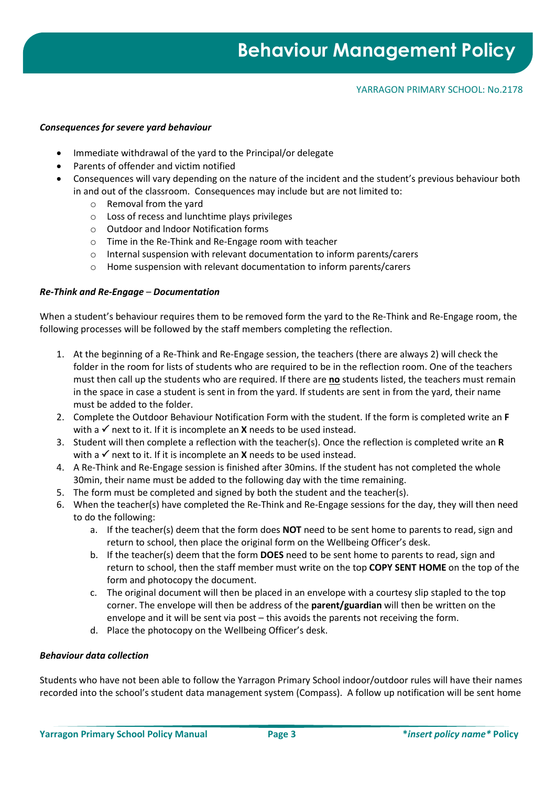#### *Consequences for severe yard behaviour*

- Immediate withdrawal of the yard to the Principal/or delegate
- Parents of offender and victim notified
- Consequences will vary depending on the nature of the incident and the student's previous behaviour both in and out of the classroom. Consequences may include but are not limited to:
	- o Removal from the yard
	- o Loss of recess and lunchtime plays privileges
	- o Outdoor and lndoor Notification forms
	- o Time in the Re-Think and Re-Engage room with teacher
	- o Internal suspension with relevant documentation to inform parents/carers
	- o Home suspension with relevant documentation to inform parents/carers

#### *Re-Think and Re-Engage* – *Documentation*

When a student's behaviour requires them to be removed form the yard to the Re-Think and Re-Engage room, the following processes will be followed by the staff members completing the reflection.

- 1. At the beginning of a Re-Think and Re-Engage session, the teachers (there are always 2) will check the folder in the room for lists of students who are required to be in the reflection room. One of the teachers must then call up the students who are required. If there are **no** students listed, the teachers must remain in the space in case a student is sent in from the yard. If students are sent in from the yard, their name must be added to the folder.
- 2. Complete the Outdoor Behaviour Notification Form with the student. If the form is completed write an **F** with a  $\checkmark$  next to it. If it is incomplete an **X** needs to be used instead.
- 3. Student will then complete a reflection with the teacher(s). Once the reflection is completed write an **R** with a  $\checkmark$  next to it. If it is incomplete an **X** needs to be used instead.
- 4. A Re-Think and Re-Engage session is finished after 30mins. If the student has not completed the whole 30min, their name must be added to the following day with the time remaining.
- 5. The form must be completed and signed by both the student and the teacher(s).
- 6. When the teacher(s) have completed the Re-Think and Re-Engage sessions for the day, they will then need to do the following:
	- a. If the teacher(s) deem that the form does **NOT** need to be sent home to parents to read, sign and return to school, then place the original form on the Wellbeing Officer's desk.
	- b. If the teacher(s) deem that the form **DOES** need to be sent home to parents to read, sign and return to school, then the staff member must write on the top **COPY SENT HOME** on the top of the form and photocopy the document.
	- c. The original document will then be placed in an envelope with a courtesy slip stapled to the top corner. The envelope will then be address of the **parent/guardian** will then be written on the envelope and it will be sent via post – this avoids the parents not receiving the form.
	- d. Place the photocopy on the Wellbeing Officer's desk.

#### *Behaviour data collection*

Students who have not been able to follow the Yarragon Primary School indoor/outdoor rules will have their names recorded into the school's student data management system (Compass). A follow up notification will be sent home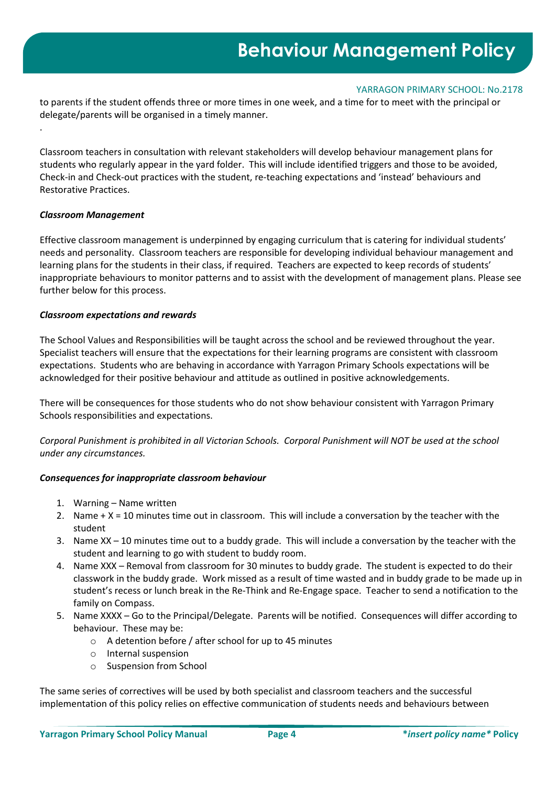#### YARRAGON PRIMARY SCHOOL: No.2178

to parents if the student offends three or more times in one week, and a time for to meet with the principal or delegate/parents will be organised in a timely manner.

Classroom teachers in consultation with relevant stakeholders will develop behaviour management plans for students who regularly appear in the yard folder. This will include identified triggers and those to be avoided, Check-in and Check-out practices with the student, re-teaching expectations and 'instead' behaviours and Restorative Practices.

## *Classroom Management*

.

Effective classroom management is underpinned by engaging curriculum that is catering for individual students' needs and personality. Classroom teachers are responsible for developing individual behaviour management and learning plans for the students in their class, if required. Teachers are expected to keep records of students' inappropriate behaviours to monitor patterns and to assist with the development of management plans. Please see further below for this process.

#### *Classroom expectations and rewards*

The School Values and Responsibilities will be taught across the school and be reviewed throughout the year. Specialist teachers will ensure that the expectations for their learning programs are consistent with classroom expectations. Students who are behaving in accordance with Yarragon Primary Schools expectations will be acknowledged for their positive behaviour and attitude as outlined in positive acknowledgements.

There will be consequences for those students who do not show behaviour consistent with Yarragon Primary Schools responsibilities and expectations.

*Corporal Punishment is prohibited in all Victorian Schools. Corporal Punishment will NOT be used at the school under any circumstances.*

## *Consequences for inappropriate classroom behaviour*

- 1. Warning Name written
- 2. Name + X = 10 minutes time out in classroom. This will include a conversation by the teacher with the student
- 3. Name XX 10 minutes time out to a buddy grade. This will include a conversation by the teacher with the student and learning to go with student to buddy room.
- 4. Name XXX Removal from classroom for 30 minutes to buddy grade. The student is expected to do their classwork in the buddy grade. Work missed as a result of time wasted and in buddy grade to be made up in student's recess or lunch break in the Re-Think and Re-Engage space. Teacher to send a notification to the family on Compass.
- 5. Name XXXX Go to the Principal/Delegate. Parents will be notified. Consequences will differ according to behaviour. These may be:
	- o A detention before / after school for up to 45 minutes
	- o Internal suspension
	- o Suspension from School

The same series of correctives will be used by both specialist and classroom teachers and the successful implementation of this policy relies on effective communication of students needs and behaviours between